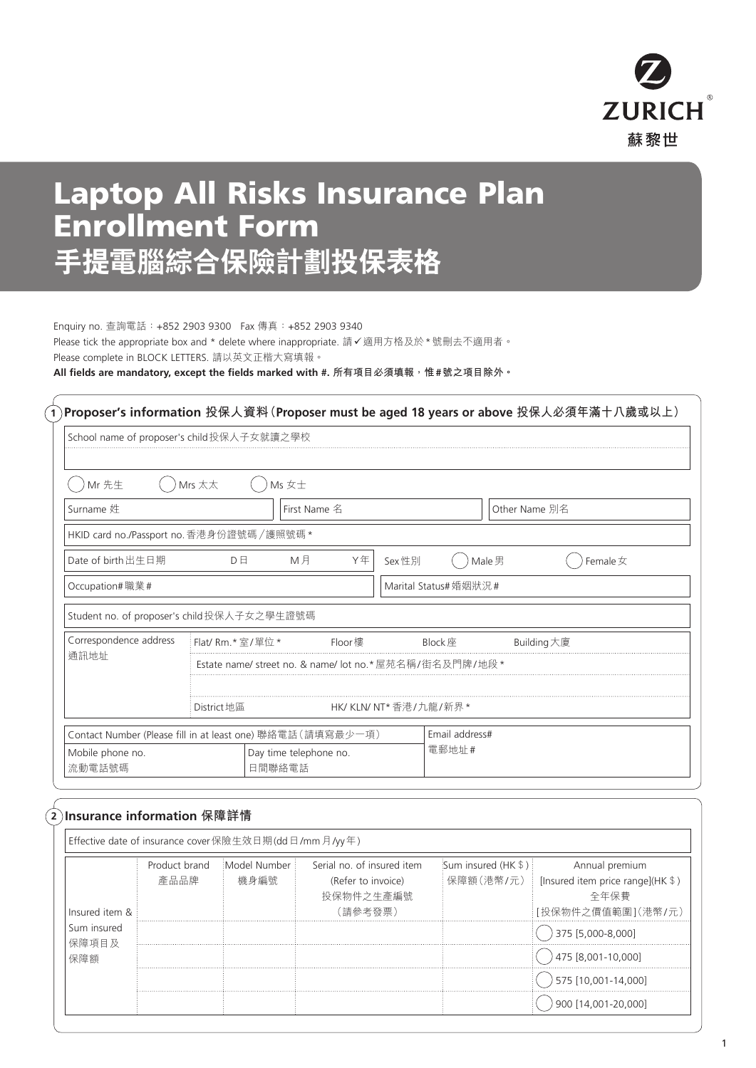

# Laptop All Risks Insurance Plan Enrollment Form **手提電腦綜合保險計劃投保表格**

Enquiry no. 查詢電話:+852 2903 9300 Fax 傳真:+852 2903 9340 Please tick the appropriate box and \* delete where inappropriate. 請√適用方格及於 \*號刪去不適用者。 Please complete in BLOCK LETTERS. 請以英文正楷大寫填報。

**All fields are mandatory, except the fields marked with #. 所有項目必須填報,惟#號之項目除外。**

| School name of proposer's child 投保人子女就讀之學校                  |                             |                                                          |                        |        |                      |               |            |                     |
|-------------------------------------------------------------|-----------------------------|----------------------------------------------------------|------------------------|--------|----------------------|---------------|------------|---------------------|
| Mr 先生                                                       | Mrs 太太                      | Ms 女士                                                    |                        |        |                      |               |            |                     |
| Surname 姓                                                   |                             | First Name 名                                             |                        |        |                      | Other Name 別名 |            |                     |
| HKID card no./Passport no. 香港身份證號碼 / 護照號碼 *                 |                             |                                                          |                        |        |                      |               |            |                     |
| Date of birth出生日期                                           | D 日                         | M月                                                       | Y年                     | Sex 性別 |                      | Male 男        |            | Female $\not\equiv$ |
| Occupation# 職業 #                                            |                             |                                                          |                        |        | Marital Status#婚姻狀況# |               |            |                     |
| Student no. of proposer's child投保人子女之學生證號碼                  |                             |                                                          |                        |        |                      |               |            |                     |
| Correspondence address                                      | Floor樓<br>Flat/ Rm.* 室/單位 * |                                                          |                        |        | Block 座              |               | Building大廈 |                     |
| 通訊地址                                                        |                             | Estate name/ street no. & name/ lot no.* 屋苑名稱/街名及門牌/地段 * |                        |        |                      |               |            |                     |
|                                                             |                             | HK/ KLN/ NT* 香港/九龍/新界 *                                  |                        |        |                      |               |            |                     |
| Contact Number (Please fill in at least one) 聯絡電話 (請填寫最少一項) |                             |                                                          |                        |        | Email address#       |               |            |                     |
| Mobile phone no.<br>流動電話號碼<br>日間聯絡電話                        |                             |                                                          | Day time telephone no. |        | 電郵地址 #               |               |            |                     |

## **Insurance information 保障詳情 2**

|                      | Product brand | Model Number | Serial no. of insured item | Sum insured $(HK \$ ) i | Annual premium                                |
|----------------------|---------------|--------------|----------------------------|-------------------------|-----------------------------------------------|
|                      | 產品品牌          |              | (Refer to invoice)         |                         | 保障額(港幣/元)   [Insured item price range](HK \$) |
|                      |               |              | 投保物件之生產編號                  |                         | 全年保費                                          |
| Insured item &       |               |              | (請參考發票)                    |                         | [投保物件之價值範圍](港幣/元)                             |
| Sum insured<br>保障項目及 |               |              |                            |                         | ) 375 [5,000-8,000]                           |
| 保障額                  |               |              |                            |                         | $($ 475 [8,001-10,000]                        |
|                      |               |              |                            |                         | 575 [10,001-14,000]                           |
|                      |               |              |                            |                         | 900 114,001-20,000                            |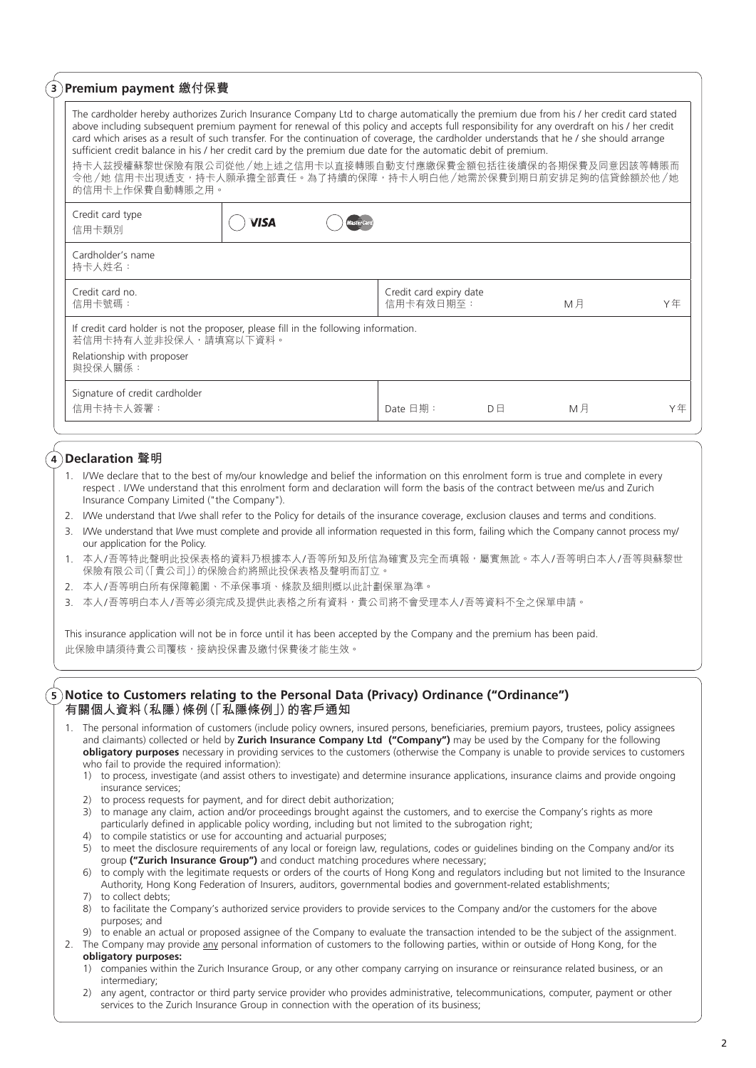| 的信用卡上作保費自動轉賬之用。                             |                                            | The cardholder hereby authorizes Zurich Insurance Company Ltd to charge automatically the premium due from his / her credit card stated<br>above including subsequent premium payment for renewal of this policy and accepts full responsibility for any overdraft on his / her credit<br>card which arises as a result of such transfer. For the continuation of coverage, the cardholder understands that he / she should arrange<br>sufficient credit balance in his / her credit card by the premium due date for the automatic debit of premium.<br>持卡人茲授權蘇黎世保險有限公司從他/她上述之信用卡以直接轉賬自動支付應繳保費金額包括往後續保的各期保費及同意因該等轉賬而<br>令他/她 信用卡出現透支,持卡人願承擔全部責任。為了持續的保障,持卡人明白他/她需於保費到期日前安排足夠的信貸餘額於他/她 |           |    |    |
|---------------------------------------------|--------------------------------------------|----------------------------------------------------------------------------------------------------------------------------------------------------------------------------------------------------------------------------------------------------------------------------------------------------------------------------------------------------------------------------------------------------------------------------------------------------------------------------------------------------------------------------------------------------------------------------------------------------------------------------------------------------------------------------------------|-----------|----|----|
| Credit card type<br>信用卡類別                   | <b>VISA</b>                                |                                                                                                                                                                                                                                                                                                                                                                                                                                                                                                                                                                                                                                                                                        |           |    |    |
| Cardholder's name<br>持卡人姓名:                 |                                            |                                                                                                                                                                                                                                                                                                                                                                                                                                                                                                                                                                                                                                                                                        |           |    |    |
| Credit card no.<br>信用卡號碼:                   |                                            | Credit card expiry date<br>信用卡有效日期至:                                                                                                                                                                                                                                                                                                                                                                                                                                                                                                                                                                                                                                                   |           | M月 | Y年 |
|                                             |                                            |                                                                                                                                                                                                                                                                                                                                                                                                                                                                                                                                                                                                                                                                                        |           |    |    |
| Relationship with proposer<br>與投保人關係:       |                                            |                                                                                                                                                                                                                                                                                                                                                                                                                                                                                                                                                                                                                                                                                        |           |    |    |
| Signature of credit cardholder<br>信用卡持卡人簽署: |                                            | Date 日期:                                                                                                                                                                                                                                                                                                                                                                                                                                                                                                                                                                                                                                                                               | <b>D日</b> | M月 |    |
| 4) Declaration 聲明                           | Insurance Company Limited ("the Company"). | 1. I/We declare that to the best of my/our knowledge and belief the information on this enrolment form is true and complete in every<br>respect . I/We understand that this enrolment form and declaration will form the basis of the contract between me/us and Zurich<br>2. I/We understand that I/we shall refer to the Policy for details of the insurance coverage, exclusion clauses and terms and conditions.<br>3. IWe understand that I/we must complete and provide all information requested in this form, failing which the Company cannot process my/                                                                                                                     |           |    | Y年 |

This insurance application will not be in force until it has been accepted by the Company and the premium has been paid. 此保險申請須待貴公司覆核,接納投保書及繳付保費後才能生效。

## **Notice to Customers relating to the Personal Data (Privacy) Ordinance ("Ordinance") 5有關個人資料(私隱)條例(「私隱條例」)的客戶通知**

- 1. The personal information of customers (include policy owners, insured persons, beneficiaries, premium payors, trustees, policy assignees and claimants) collected or held by **Zurich Insurance Company Ltd ("Company")** may be used by the Company for the following **obligatory purposes** necessary in providing services to the customers (otherwise the Company is unable to provide services to customers who fail to provide the required information):
	- 1) to process, investigate (and assist others to investigate) and determine insurance applications, insurance claims and provide ongoing insurance services;
	- 2) to process requests for payment, and for direct debit authorization;
	- 3) to manage any claim, action and/or proceedings brought against the customers, and to exercise the Company's rights as more particularly defined in applicable policy wording, including but not limited to the subrogation right;
	- 4) to compile statistics or use for accounting and actuarial purposes;
	- 5) to meet the disclosure requirements of any local or foreign law, regulations, codes or guidelines binding on the Company and/or its group **("Zurich Insurance Group")** and conduct matching procedures where necessary;
	- 6) to comply with the legitimate requests or orders of the courts of Hong Kong and regulators including but not limited to the Insurance Authority, Hong Kong Federation of Insurers, auditors, governmental bodies and government-related establishments; 7) to collect debts;
	-
	- 8) to facilitate the Company's authorized service providers to provide services to the Company and/or the customers for the above purposes; and
- 9) to enable an actual or proposed assignee of the Company to evaluate the transaction intended to be the subject of the assignment. 2. The Company may provide any personal information of customers to the following parties, within or outside of Hong Kong, for the

#### **obligatory purposes:**

- 1) companies within the Zurich Insurance Group, or any other company carrying on insurance or reinsurance related business, or an intermediary;
- 2) any agent, contractor or third party service provider who provides administrative, telecommunications, computer, payment or other services to the Zurich Insurance Group in connection with the operation of its business;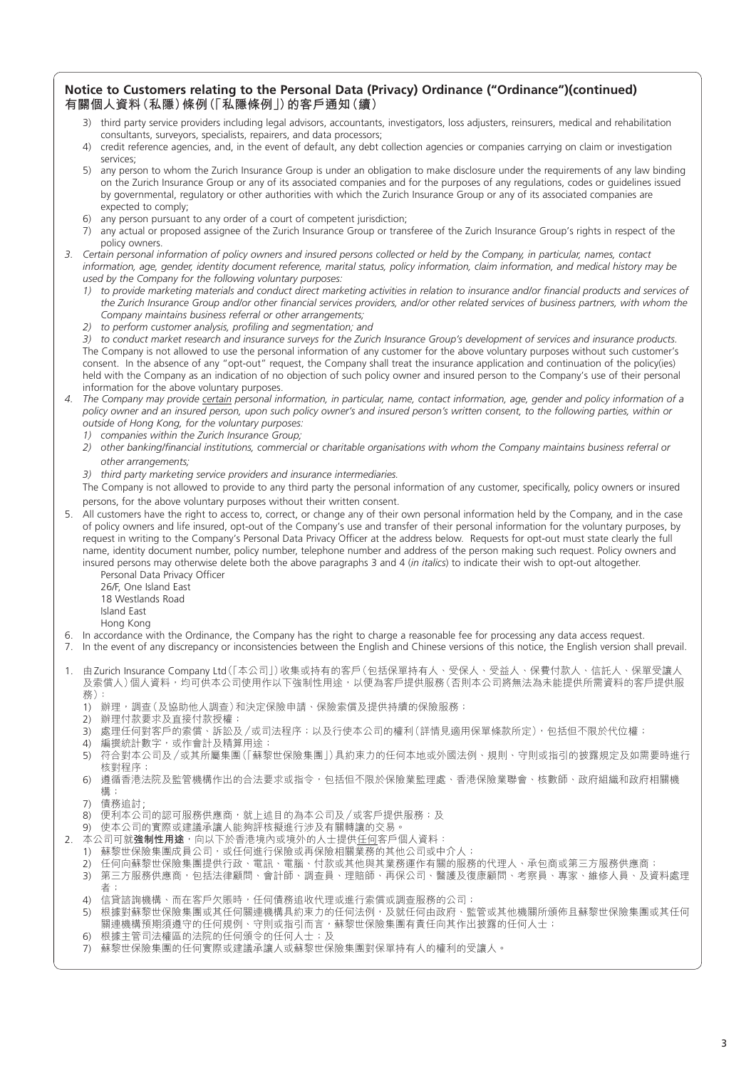#### **Notice to Customers relating to the Personal Data (Privacy) Ordinance ("Ordinance")(continued) 有關個人資料(私隱)條例(「私隱條例」)的客戶通知(續)**

- 3) third party service providers including legal advisors, accountants, investigators, loss adjusters, reinsurers, medical and rehabilitation consultants, surveyors, specialists, repairers, and data processors;
- 4) credit reference agencies, and, in the event of default, any debt collection agencies or companies carrying on claim or investigation services;
- 5) any person to whom the Zurich Insurance Group is under an obligation to make disclosure under the requirements of any law binding on the Zurich Insurance Group or any of its associated companies and for the purposes of any regulations, codes or guidelines issued by governmental, regulatory or other authorities with which the Zurich Insurance Group or any of its associated companies are expected to comply;
- 6) any person pursuant to any order of a court of competent jurisdiction;
- 7) any actual or proposed assignee of the Zurich Insurance Group or transferee of the Zurich Insurance Group's rights in respect of the policy owners.
- *3. Certain personal information of policy owners and insured persons collected or held by the Company, in particular, names, contact information, age, gender, identity document reference, marital status, policy information, claim information, and medical history may be used by the Company for the following voluntary purposes:*
	- *1) to provide marketing materials and conduct direct marketing activities in relation to insurance and/or financial products and services of*  the Zurich Insurance Group and/or other financial services providers, and/or other related services of business partners, with whom the *Company maintains business referral or other arrangements;*
	- *2) to perform customer analysis, profiling and segmentation; and*

*3) to conduct market research and insurance surveys for the Zurich Insurance Group's development of services and insurance products.* The Company is not allowed to use the personal information of any customer for the above voluntary purposes without such customer's consent. In the absence of any "opt-out" request, the Company shall treat the insurance application and continuation of the policy(ies) held with the Company as an indication of no objection of such policy owner and insured person to the Company's use of their personal information for the above voluntary purposes.

- *4. The Company may provide certain personal information, in particular, name, contact information, age, gender and policy information of a policy owner and an insured person, upon such policy owner's and insured person's written consent, to the following parties, within or outside of Hong Kong, for the voluntary purposes:*
	- *1) companies within the Zurich Insurance Group;*
	- *2) other banking/financial institutions, commercial or charitable organisations with whom the Company maintains business referral or other arrangements;*
	- *3) third party marketing service providers and insurance intermediaries.*

The Company is not allowed to provide to any third party the personal information of any customer, specifically, policy owners or insured persons, for the above voluntary purposes without their written consent.

- 5. All customers have the right to access to, correct, or change any of their own personal information held by the Company, and in the case of policy owners and life insured, opt-out of the Company's use and transfer of their personal information for the voluntary purposes, by request in writing to the Company's Personal Data Privacy Officer at the address below. Requests for opt-out must state clearly the full name, identity document number, policy number, telephone number and address of the person making such request. Policy owners and insured persons may otherwise delete both the above paragraphs 3 and 4 (*in italics*) to indicate their wish to opt-out altogether.
	- Personal Data Privacy Officer
	- 26/F, One Island East
	- 18 Westlands Road
	- Island East
	- Hong Kong
- 6. In accordance with the Ordinance, the Company has the right to charge a reasonable fee for processing any data access request.
- 7. In the event of any discrepancy or inconsistencies between the English and Chinese versions of this notice, the English version shall prevail.
- 1. 由Zurich Insurance Company Ltd(「本公司」)收集或持有的客戶(包括保單持有人、受保人、受益人、保費付款人、信託人、保單受讓人 及索償人)個人資料,均可供本公司使用作以下強制性用途,以便為客戶提供服務(否則本公司將無法為未能提供所需資料的客戶提供服 務):
	- 1) 辦理,調查(及協助他人調查)和決定保險申請、保險索償及提供持續的保險服務;
	- 2) 辦理付款要求及直接付款授權;
	- 3) 處理任何對客戶的索償、訴訟及/或司法程序;以及行使本公司的權利(詳情見適用保單條款所定),包括但不限於代位權;
	- 4) 編撰統計數字,或作會計及精算用途;
	- 5) 符合對本公司及 /或其所屬集團(「蘇黎世保險集團」)具約束力的任何本地或外國法例、規則、守則或指引的披露規定及如需要時進行 核對程序;
	- 6) 遵循香港法院及監管機構作出的合法要求或指令,包括但不限於保險業監理處、香港保險業聯會、核數師、政府組織和政府相關機 構;
	- 7) 債務追討;
	- 8) 便利本公司的認可服務供應商,就上述目的為本公司及/或客戶提供服務;及
	- 9) 使本公司的實際或建議承讓人能夠評核擬進行涉及有關轉讓的交易。
	- 本公司可就**強制性用途**,向以下於香港境內或境外的人士提供任何客戶個人資料:
	- 1) 蘇黎世保險集團成員公司,或任何進行保險或再保險相關業務的其他公司或中介人;
	- 2) 任何向蘇黎世保險集團提供行政、電訊、電腦、付款或其他與其業務運作有關的服務的代理人、承包商或第三方服務供應商;
	- 3) 第三方服務供應商,包括法律顧問、會計師、調查員、理賠師、再保公司、醫護及復康顧問、考察員、專家、維修人員、及資料處理 者;
	- 4) 信貸諮詢機構、而在客戶欠賬時,任何債務追收代理或進行索償或調查服務的公司;<br>5) 根據對蘇黎世保險集團或其任何關連機構具約束力的任何法例,及就任何由政府、監
	- 根據對蘇黎世保險集團或其任何關連機構具約束力的任何法例,及就任何由政府、監管或其他機關所頒佈且蘇黎世保險集團或其任何 關連機構預期須遵守的任何規例、守則或指引而言,蘇黎世保險集團有責任向其作出披露的任何人士;
	- 6) 根據主管司法權區的法院的任何頒令的任何人士;及
	- 7) 蘇黎世保險集團的任何實際或建議承讓人或蘇黎世保險集團對保單持有人的權利的受讓人。